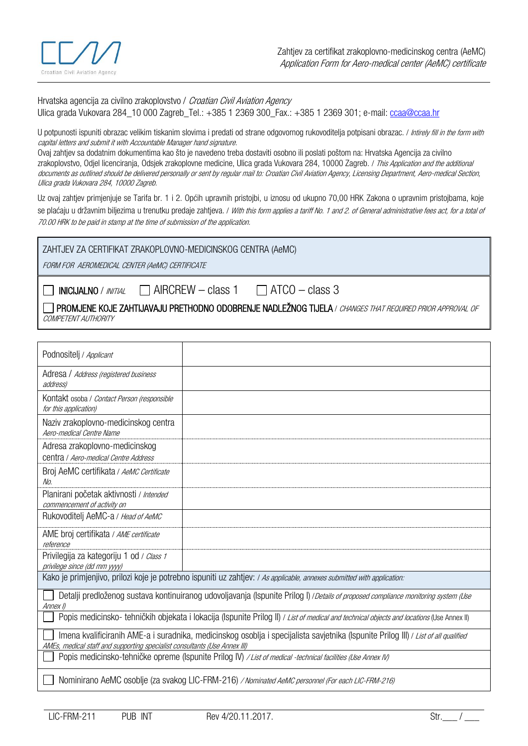

Hrvatska agencija za civilno zrakoplovstvo / Croatian Civil Aviation Agency Ulica grada Vukovara 284 10 000 Zagreb Tel.: +385 1 2369 300 Fax.: +385 1 2369 301; e-mail[: ccaa@ccaa.hr](mailto:ccaa@ccaa.hr)

U potpunosti ispuniti obrazac velikim tiskanim slovima i predati od strane odgovornog rukovoditelja potpisani obrazac. / Intirely fill in the form with capital letters and submit it with Accountable Manager hand signature.

Ovaj zahtjev sa dodatnim dokumentima kao što je navedeno treba dostaviti osobno ili poslati poštom na: Hrvatska Agencija za civilno zrakoplovstvo, Odiel licencirania, Odsiek zrakoplovne medicine, Ulica grada Vukovara 284, 10000 Zagreb. */ This Application and the additional* documents as outlined should be delivered personally or sent by regular mail to: Croatian Civil Aviation Agency, Licensing Department, Aero-medical Section, Ulica grada Vukovara 284, 10000 Zagreb.

Uz ovaj zahtjev primjenjuje se Tarifa br. 1 i 2. Općih upravnih pristojbi, u iznosu od ukupno 70,00 HRK Zakona o upravnim pristojbama, koje se plaćaju u državnim biljezima u trenutku predaje zahtjeva. / With this form applies a tariff No. 1 and 2. of General administrative fees act, for a total of 70.00 HRK to be paid in stamp at the time of submission of the application.

| ZAHTJEV ZA CERTIFIKAT ZRAKOPLOVNO-MEDICINSKOG CENTRA (AeMC) |  |
|-------------------------------------------------------------|--|
|-------------------------------------------------------------|--|

FORM FOR AEROMEDICAL CENTER (AeMC) CERTIFICATE

 $\Box$  INICIJALNO / *INITIAL*  $\Box$  AIRCREW – class 1  $\Box$  ATCO – class 3

T PROMJENE KOJE ZAHTIJAVAJU PRETHODNO ODOBRENJE NADLEŽNOG TIJELA / CHANGES THAT REQUIRED PRIOR APPROVAL OF COMPETENT AUTHORITY

| Podnositelj / Applicant                                                                                                                                                                                          |  |  |  |
|------------------------------------------------------------------------------------------------------------------------------------------------------------------------------------------------------------------|--|--|--|
| Adresa / Address (registered business<br>address)                                                                                                                                                                |  |  |  |
| Kontakt osoba / Contact Person (responsible<br>for this application)                                                                                                                                             |  |  |  |
| Naziv zrakoplovno-medicinskog centra<br>Aero-medical Centre Name                                                                                                                                                 |  |  |  |
| Adresa zrakoplovno-medicinskog<br>centra / Aero-medical Centre Address                                                                                                                                           |  |  |  |
| Broj AeMC certifikata / AeMC Certificate<br>No.                                                                                                                                                                  |  |  |  |
| Planirani početak aktivnosti / Intended<br>commencement of activity on                                                                                                                                           |  |  |  |
| Rukovoditelj AeMC-a / Head of AeMC                                                                                                                                                                               |  |  |  |
| AME broj certifikata / AME certificate<br>reference                                                                                                                                                              |  |  |  |
| Privilegija za kategoriju 1 od / Class 1<br>privilege since (dd mm yyyy)                                                                                                                                         |  |  |  |
| Kako je primjenjivo, prilozi koje je potrebno ispuniti uz zahtjev: / As applicable, annexes submitted with application:                                                                                          |  |  |  |
| Detalji predloženog sustava kontinuiranog udovoljavanja (Ispunite Prilog I) / Details of proposed compliance monitoring system (Use<br>Annex I)                                                                  |  |  |  |
| Popis medicinsko- tehničkih objekata i lokacija (Ispunite Prilog II) / List of medical and technical objects and locations (Use Annex II)                                                                        |  |  |  |
| Imena kvalificiranih AME-a i suradnika, medicinskog osoblja i specijalista savjetnika (Ispunite Prilog III) / List of all qualified<br>AMEs, medical staff and supporting specialist consultants (Use Annex III) |  |  |  |
| Popis medicinsko-tehničke opreme (Ispunite Prilog IV) / List of medical -technical facilities (Use Annex IV)                                                                                                     |  |  |  |
| Nominirano AeMC osoblje (za svakog LIC-FRM-216) / Nominated AeMC personnel (For each LIC-FRM-216)                                                                                                                |  |  |  |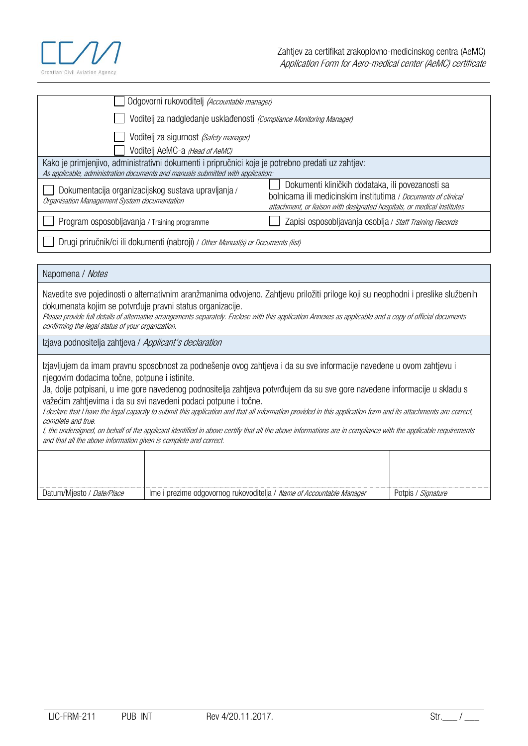

| Odgovorni rukovoditelj (Accountable manager)                                                                                                                                         |                                                                                                                                                                                              |  |  |
|--------------------------------------------------------------------------------------------------------------------------------------------------------------------------------------|----------------------------------------------------------------------------------------------------------------------------------------------------------------------------------------------|--|--|
| Voditelj za nadgledanje usklađenosti (Compliance Monitoring Manager)                                                                                                                 |                                                                                                                                                                                              |  |  |
| Voditelj za sigurnost (Safety manager)<br>Voditelj AeMC-a (Head of AeMC)                                                                                                             |                                                                                                                                                                                              |  |  |
| Kako je primjenjivo, administrativni dokumenti i pripručnici koje je potrebno predati uz zahtjev:<br>As applicable, administration documents and manuals submitted with application: |                                                                                                                                                                                              |  |  |
| Dokumentacija organizacijskog sustava upravljanja /<br>Organisation Management System documentation                                                                                  | Dokumenti kliničkih dodataka, ili povezanosti sa<br>bolnicama ili medicinskim institutima / Documents of clinical<br>attachment, or liaison with designated hospitals, or medical institutes |  |  |
| Program osposobljavanja / Training programme                                                                                                                                         | Zapisi osposobljavanja osoblja / Staff Training Records                                                                                                                                      |  |  |
| Drugi priručnik/ci ili dokumenti (nabroji) / Other Manual(s) or Documents (list)                                                                                                     |                                                                                                                                                                                              |  |  |

| Napomena / Notes                                                                                                                                                                                                                                                                                                                                                                                                                                                                                                                                                                                                                                                                                                                                                                                    |                                                                      |                    |  |
|-----------------------------------------------------------------------------------------------------------------------------------------------------------------------------------------------------------------------------------------------------------------------------------------------------------------------------------------------------------------------------------------------------------------------------------------------------------------------------------------------------------------------------------------------------------------------------------------------------------------------------------------------------------------------------------------------------------------------------------------------------------------------------------------------------|----------------------------------------------------------------------|--------------------|--|
| Navedite sve pojedinosti o alternativnim aranžmanima odvojeno. Zahtjevu priložiti priloge koji su neophodni i preslike službenih<br>dokumenata kojim se potvrđuje pravni status organizacije.<br>Please provide full details of alternative arrangements separately. Enclose with this application Annexes as applicable and a copy of official documents<br>confirming the legal status of your organization.                                                                                                                                                                                                                                                                                                                                                                                      |                                                                      |                    |  |
|                                                                                                                                                                                                                                                                                                                                                                                                                                                                                                                                                                                                                                                                                                                                                                                                     | Izjava podnositelja zahtjeva / Applicant's declaration               |                    |  |
| Izjavljujem da imam pravnu sposobnost za podnešenje ovog zahtjeva i da su sve informacije navedene u ovom zahtjevu i<br>njegovim dodacima točne, potpune i istinite.<br>Ja, dolje potpisani, u ime gore navedenog podnositelja zahtjeva potvrđujem da su sve gore navedene informacije u skladu s<br>važećim zahtjevima i da su svi navedeni podaci potpune i točne.<br>I declare that I have the legal capacity to submit this application and that all information provided in this application form and its attachments are correct,<br>complete and true.<br>I, the undersigned, on behalf of the applicant identified in above certify that all the above informations are in compliance with the applicable requirements<br>and that all the above information given is complete and correct. |                                                                      |                    |  |
|                                                                                                                                                                                                                                                                                                                                                                                                                                                                                                                                                                                                                                                                                                                                                                                                     |                                                                      |                    |  |
| Datum/Mjesto / Date/Place                                                                                                                                                                                                                                                                                                                                                                                                                                                                                                                                                                                                                                                                                                                                                                           | Ime i prezime odgovornog rukovoditelja / Name of Accountable Manager | Potpis / Signature |  |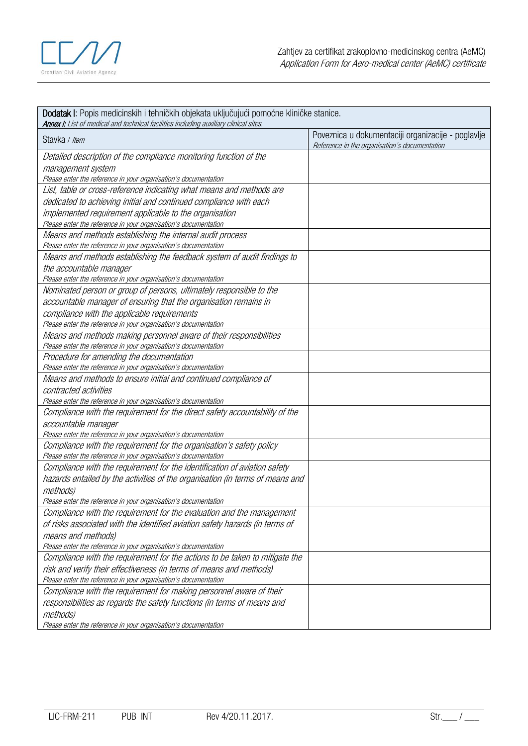

## Dodatak I: Popis medicinskih i tehničkih objekata uključujući pomoćne kliničke stanice. **Annex I:** List of medical and technical facilities including auxiliary clinical sites. Stavka / Item Poveznica u dokumentaciji organizacije - poglavlje Reference in the organisation's documentation Detailed description of the compliance monitoring function of the management system Please enter the reference in your organisation's documentation List, table or cross-reference indicating what means and methods are dedicated to achieving initial and continued compliance with each implemented requirement applicable to the organisation Please enter the reference in your organisation's documentation Means and methods establishing the internal audit process Please enter the reference in your organisation's documentation Means and methods establishing the feedback system of audit findings to the accountable manager Please enter the reference in your organisation's documentation Nominated person or group of persons, ultimately responsible to the accountable manager of ensuring that the organisation remains in compliance with the applicable requirements Please enter the reference in your organisation's documentation Means and methods making personnel aware of their responsibilities Please enter the reference in your organisation's documentation Procedure for amending the documentation Please enter the reference in your organisation's documentation Means and methods to ensure initial and continued compliance of contracted activities Please enter the reference in your organisation's documentation Compliance with the requirement for the direct safety accountability of the accountable manager Please enter the reference in your organisation's documentation Compliance with the requirement for the organisation's safety policy Please enter the reference in your organisation's documentation Compliance with the requirement for the identification of aviation safety hazards entailed by the activities of the organisation (in terms of means and methods) Please enter the reference in your organisation's documentation Compliance with the requirement for the evaluation and the management of risks associated with the identified aviation safety hazards (in terms of means and methods) Please enter the reference in your organisation's documentation Compliance with the requirement for the actions to be taken to mitigate the risk and verify their effectiveness (in terms of means and methods) Please enter the reference in your organisation's documentation Compliance with the requirement for making personnel aware of their responsibilities as regards the safety functions (in terms of means and methods)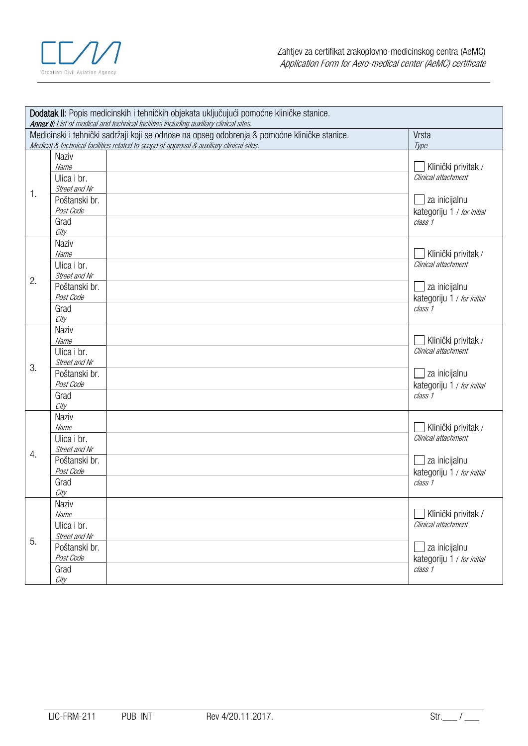

|                                                                                                       |                                                                                         | Dodatak II: Popis medicinskih i tehničkih objekata uključujući pomoćne kliničke stanice.<br>Annex II: List of medical and technical facilities including auxiliary clinical sites. |                                            |  |  |
|-------------------------------------------------------------------------------------------------------|-----------------------------------------------------------------------------------------|------------------------------------------------------------------------------------------------------------------------------------------------------------------------------------|--------------------------------------------|--|--|
| Medicinski i tehnički sadržaji koji se odnose na opseg odobrenja & pomoćne kliničke stanice.<br>Vrsta |                                                                                         |                                                                                                                                                                                    |                                            |  |  |
|                                                                                                       | Medical & technical facilities related to scope of approval & auxiliary clinical sites. | Type                                                                                                                                                                               |                                            |  |  |
|                                                                                                       | <b>Naziv</b>                                                                            |                                                                                                                                                                                    |                                            |  |  |
|                                                                                                       | Name                                                                                    |                                                                                                                                                                                    | Klinički privitak /                        |  |  |
|                                                                                                       | Ulica i br.                                                                             |                                                                                                                                                                                    | Clinical attachment                        |  |  |
| 1.                                                                                                    | Street and Nr                                                                           |                                                                                                                                                                                    |                                            |  |  |
|                                                                                                       | Poštanski br.                                                                           |                                                                                                                                                                                    | za inicijalnu                              |  |  |
|                                                                                                       | Post Code                                                                               |                                                                                                                                                                                    | kategoriju 1 / for initial                 |  |  |
|                                                                                                       | Grad                                                                                    |                                                                                                                                                                                    | class 1                                    |  |  |
|                                                                                                       | City                                                                                    |                                                                                                                                                                                    |                                            |  |  |
|                                                                                                       | <b>Naziv</b><br>Name                                                                    |                                                                                                                                                                                    |                                            |  |  |
|                                                                                                       | Ulica i br.                                                                             |                                                                                                                                                                                    | Klinički privitak /<br>Clinical attachment |  |  |
|                                                                                                       | Street and Nr                                                                           |                                                                                                                                                                                    |                                            |  |  |
| 2.                                                                                                    | Poštanski br.                                                                           |                                                                                                                                                                                    | za inicijalnu                              |  |  |
|                                                                                                       | Post Code                                                                               |                                                                                                                                                                                    | kategoriju 1 / for initial                 |  |  |
|                                                                                                       | Grad                                                                                    |                                                                                                                                                                                    | class 1                                    |  |  |
|                                                                                                       | City                                                                                    |                                                                                                                                                                                    |                                            |  |  |
|                                                                                                       | <b>Naziv</b>                                                                            |                                                                                                                                                                                    |                                            |  |  |
|                                                                                                       | Name                                                                                    |                                                                                                                                                                                    | Klinički privitak /                        |  |  |
|                                                                                                       | Ulica i br.                                                                             |                                                                                                                                                                                    | Clinical attachment                        |  |  |
| 3.                                                                                                    | Street and Nr                                                                           |                                                                                                                                                                                    |                                            |  |  |
|                                                                                                       | Poštanski br.                                                                           |                                                                                                                                                                                    | ∟ za inicijalnu                            |  |  |
|                                                                                                       | Post Code                                                                               |                                                                                                                                                                                    | kategoriju 1 / for initial                 |  |  |
|                                                                                                       | Grad                                                                                    |                                                                                                                                                                                    | class 1                                    |  |  |
|                                                                                                       | City<br><b>Naziv</b>                                                                    |                                                                                                                                                                                    |                                            |  |  |
|                                                                                                       | Name                                                                                    |                                                                                                                                                                                    | Klinički privitak /                        |  |  |
|                                                                                                       | Ulica i br.                                                                             |                                                                                                                                                                                    | Clinical attachment                        |  |  |
|                                                                                                       | Street and Nr                                                                           |                                                                                                                                                                                    |                                            |  |  |
| 4.                                                                                                    | Poštanski br.                                                                           |                                                                                                                                                                                    | za inicijalnu                              |  |  |
|                                                                                                       | Post Code                                                                               |                                                                                                                                                                                    | kategoriju 1 / for initial                 |  |  |
|                                                                                                       | Grad                                                                                    |                                                                                                                                                                                    | class 1                                    |  |  |
|                                                                                                       | City                                                                                    |                                                                                                                                                                                    |                                            |  |  |
| 5.                                                                                                    | Naziv                                                                                   |                                                                                                                                                                                    |                                            |  |  |
|                                                                                                       | Name                                                                                    |                                                                                                                                                                                    | Klinički privitak /                        |  |  |
|                                                                                                       | Ulica i br.                                                                             |                                                                                                                                                                                    | Clinical attachment                        |  |  |
|                                                                                                       | Street and Nr                                                                           |                                                                                                                                                                                    |                                            |  |  |
|                                                                                                       | Poštanski br.                                                                           |                                                                                                                                                                                    | za inicijalnu                              |  |  |
|                                                                                                       | Post Code                                                                               |                                                                                                                                                                                    | kategoriju 1 / for initial                 |  |  |
|                                                                                                       | Grad<br>City                                                                            |                                                                                                                                                                                    | class 1                                    |  |  |
|                                                                                                       |                                                                                         |                                                                                                                                                                                    |                                            |  |  |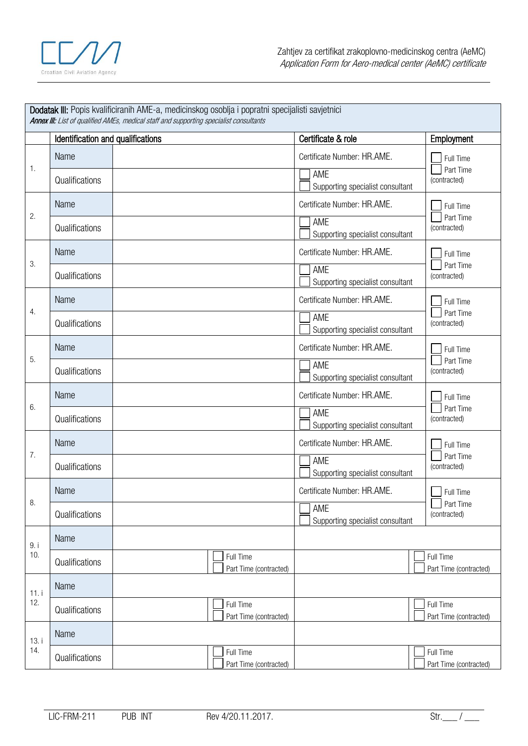

| Dodatak III: Popis kvalificiranih AME-a, medicinskog osoblja i popratni specijalisti savjetnici<br><b>Annex III:</b> List of qualified AMEs, medical staff and supporting specialist consultants |                                   |                                     |                                                                        |                                        |
|--------------------------------------------------------------------------------------------------------------------------------------------------------------------------------------------------|-----------------------------------|-------------------------------------|------------------------------------------------------------------------|----------------------------------------|
|                                                                                                                                                                                                  | Identification and qualifications |                                     | Certificate & role                                                     | Employment                             |
| 1.                                                                                                                                                                                               | Name<br>Qualifications            |                                     | Certificate Number: HR.AME.<br>AME<br>Supporting specialist consultant | Full Time<br>Part Time<br>(contracted) |
| 2.                                                                                                                                                                                               | Name<br>Qualifications            |                                     | Certificate Number: HR.AME.<br>AME<br>Supporting specialist consultant | Full Time<br>Part Time<br>(contracted) |
| 3.                                                                                                                                                                                               | Name<br>Qualifications            |                                     | Certificate Number: HR.AME.<br>AME<br>Supporting specialist consultant | Full Time<br>Part Time<br>(contracted) |
| 4.                                                                                                                                                                                               | Name<br>Qualifications            |                                     | Certificate Number: HR.AME.<br>AME<br>Supporting specialist consultant | Full Time<br>Part Time<br>(contracted) |
| 5.                                                                                                                                                                                               | Name<br>Qualifications            |                                     | Certificate Number: HR.AME.<br>AME<br>Supporting specialist consultant | Full Time<br>Part Time<br>(contracted) |
| 6.                                                                                                                                                                                               | Name<br>Qualifications            |                                     | Certificate Number: HR.AME.<br>AME<br>Supporting specialist consultant | Full Time<br>Part Time<br>(contracted) |
| 7.                                                                                                                                                                                               | Name<br>Qualifications            |                                     | Certificate Number: HR.AME.<br>AME<br>Supporting specialist consultant | Full Time<br>Part Time<br>(contracted) |
| 8.                                                                                                                                                                                               | Name<br>Qualifications            |                                     | Certificate Number: HR.AME.<br>AME<br>Supporting specialist consultant | Full Time<br>Part Time<br>(contracted) |
| 9. i                                                                                                                                                                                             | Name                              |                                     |                                                                        |                                        |
| 10.                                                                                                                                                                                              | Qualifications                    | Full Time<br>Part Time (contracted) |                                                                        | Full Time<br>Part Time (contracted)    |
| 11.1<br>12.                                                                                                                                                                                      | Name<br>Qualifications            | Full Time<br>Part Time (contracted) |                                                                        | Full Time<br>Part Time (contracted)    |
| 13.1<br>14.                                                                                                                                                                                      | Name<br>Qualifications            | Full Time<br>Part Time (contracted) |                                                                        | Full Time<br>Part Time (contracted)    |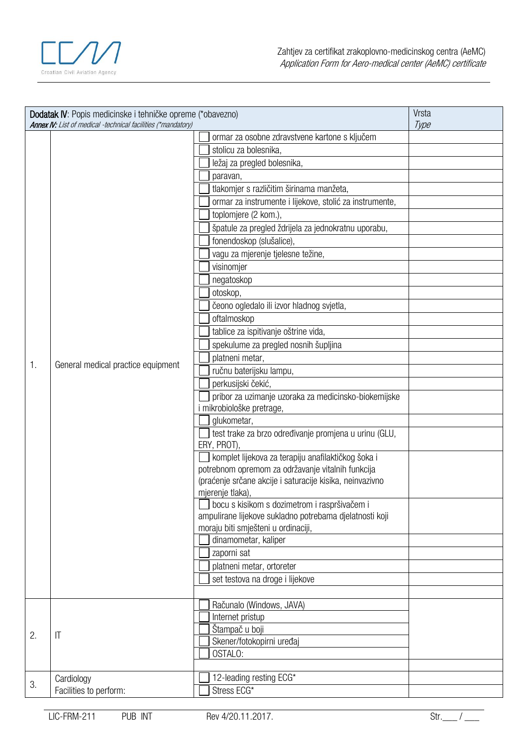

| Dodatak IV: Popis medicinske i tehničke opreme (*obavezno)<br><b>Annex IV:</b> List of medical -technical facilities (*mandatory) |                                    |                                                                                                | Vrsta<br>Type |
|-----------------------------------------------------------------------------------------------------------------------------------|------------------------------------|------------------------------------------------------------------------------------------------|---------------|
|                                                                                                                                   |                                    | ormar za osobne zdravstvene kartone s ključem                                                  |               |
|                                                                                                                                   |                                    | stolicu za bolesnika                                                                           |               |
|                                                                                                                                   |                                    | ležaj za pregled bolesnika,                                                                    |               |
|                                                                                                                                   |                                    | paravan,                                                                                       |               |
|                                                                                                                                   |                                    | tlakomjer s različitim širinama manžeta,                                                       |               |
|                                                                                                                                   |                                    | ormar za instrumente i lijekove, stolić za instrumente,                                        |               |
|                                                                                                                                   |                                    | toplomjere (2 kom.),                                                                           |               |
|                                                                                                                                   |                                    | špatule za pregled ždrijela za jednokratnu uporabu,                                            |               |
|                                                                                                                                   |                                    | fonendoskop (slušalice),                                                                       |               |
|                                                                                                                                   |                                    | vagu za mjerenje tjelesne težine,                                                              |               |
|                                                                                                                                   |                                    | visinomjer                                                                                     |               |
|                                                                                                                                   |                                    | negatoskop                                                                                     |               |
|                                                                                                                                   |                                    | otoskop,                                                                                       |               |
|                                                                                                                                   |                                    | čeono ogledalo ili izvor hladnog svjetla,                                                      |               |
|                                                                                                                                   |                                    | oftalmoskop                                                                                    |               |
|                                                                                                                                   |                                    | tablice za ispitivanje oštrine vida,                                                           |               |
|                                                                                                                                   |                                    | spekulume za pregled nosnih šupljina                                                           |               |
|                                                                                                                                   |                                    | platneni metar,                                                                                |               |
| $\mathbf{1}$ .                                                                                                                    | General medical practice equipment | ručnu baterijsku lampu,                                                                        |               |
|                                                                                                                                   |                                    | perkusijski čekić,                                                                             |               |
|                                                                                                                                   |                                    | pribor za uzimanje uzoraka za medicinsko-biokemijske                                           |               |
|                                                                                                                                   |                                    | i mikrobiološke pretrage,                                                                      |               |
|                                                                                                                                   |                                    | glukometar,                                                                                    |               |
|                                                                                                                                   |                                    | test trake za brzo određivanje promjena u urinu (GLU,                                          |               |
|                                                                                                                                   |                                    | ERY, PROT)                                                                                     |               |
|                                                                                                                                   |                                    | komplet lijekova za terapiju anafilaktičkog šoka i                                             |               |
|                                                                                                                                   |                                    | potrebnom opremom za održavanje vitalnih funkcija                                              |               |
|                                                                                                                                   |                                    | (praćenje srčane akcije i saturacije kisika, neinvazivno                                       |               |
|                                                                                                                                   |                                    | mjerenje tlaka),                                                                               |               |
|                                                                                                                                   |                                    | bocu s kisikom s dozimetrom i raspršivačem i                                                   |               |
|                                                                                                                                   |                                    | ampulirane lijekove sukladno potrebama djelatnosti koji<br>moraju biti smješteni u ordinaciji, |               |
|                                                                                                                                   |                                    | dinamometar, kaliper                                                                           |               |
|                                                                                                                                   |                                    | zaporni sat                                                                                    |               |
|                                                                                                                                   |                                    | platneni metar, ortoreter                                                                      |               |
|                                                                                                                                   |                                    | set testova na droge i lijekove                                                                |               |
|                                                                                                                                   |                                    |                                                                                                |               |
|                                                                                                                                   |                                    | Računalo (Windows, JAVA)                                                                       |               |
|                                                                                                                                   |                                    | Internet pristup                                                                               |               |
|                                                                                                                                   |                                    | Štampač u boji                                                                                 |               |
| 2.                                                                                                                                | $\mathsf{I}\mathsf{T}$             | Skener/fotokopirni uređaj                                                                      |               |
|                                                                                                                                   |                                    | OSTALO:                                                                                        |               |
|                                                                                                                                   |                                    |                                                                                                |               |
| 3.                                                                                                                                | Cardiology                         | 12-leading resting ECG*                                                                        |               |
|                                                                                                                                   | Facilities to perform:             | Stress ECG*                                                                                    |               |